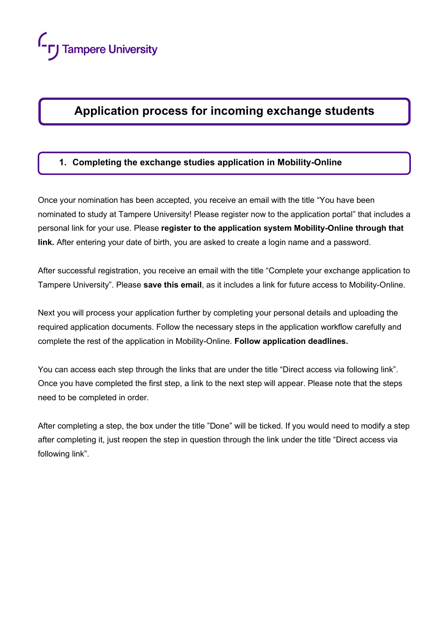# **Application process for incoming exchange students**

# **1. Completing the exchange studies application in Mobility-Online**

Once your nomination has been accepted, you receive an email with the title "You have been nominated to study at Tampere University! Please register now to the application portal" that includes a personal link for your use. Please **register to the application system Mobility-Online through that link.** After entering your date of birth, you are asked to create a login name and a password.

After successful registration, you receive an email with the title "Complete your exchange application to Tampere University". Please **save this email**, as it includes a link for future access to Mobility-Online.

Next you will process your application further by completing your personal details and uploading the required application documents. Follow the necessary steps in the application workflow carefully and complete the rest of the application in Mobility-Online. **Follow application deadlines.**

You can access each step through the links that are under the title "Direct access via following link". Once you have completed the first step, a link to the next step will appear. Please note that the steps need to be completed in order.

After completing a step, the box under the title "Done" will be ticked. If you would need to modify a step after completing it, just reopen the step in question through the link under the title "Direct access via following link".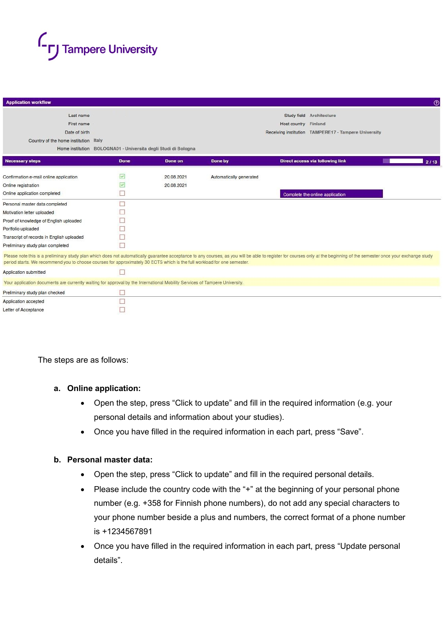

| <b>Application workflow</b>                                                                                                 |                                                                |                                                      |                         |                                                                                                                                                                                                                           | $\odot$ |  |  |
|-----------------------------------------------------------------------------------------------------------------------------|----------------------------------------------------------------|------------------------------------------------------|-------------------------|---------------------------------------------------------------------------------------------------------------------------------------------------------------------------------------------------------------------------|---------|--|--|
| Last name                                                                                                                   |                                                                |                                                      |                         | Study field Architecture                                                                                                                                                                                                  |         |  |  |
| First name                                                                                                                  | Host country Finland                                           |                                                      |                         |                                                                                                                                                                                                                           |         |  |  |
| Date of birth                                                                                                               |                                                                | Receiving institution TAMPERE17 - Tampere University |                         |                                                                                                                                                                                                                           |         |  |  |
| Country of the home institution Italy                                                                                       |                                                                |                                                      |                         |                                                                                                                                                                                                                           |         |  |  |
|                                                                                                                             | Home institution BOLOGNA01 - Universita degli Studi di Bologna |                                                      |                         |                                                                                                                                                                                                                           |         |  |  |
| <b>Necessary steps</b>                                                                                                      | <b>Done</b>                                                    | Done on                                              | Done by                 | Direct access via following link                                                                                                                                                                                          | 2/13    |  |  |
| Confirmation e-mail online application                                                                                      | $\checkmark$                                                   | 20.08.2021                                           | Automatically generated |                                                                                                                                                                                                                           |         |  |  |
| Online registration                                                                                                         | $\sqrt{}$                                                      | 20.08.2021                                           |                         |                                                                                                                                                                                                                           |         |  |  |
| Online application completed                                                                                                | □                                                              |                                                      |                         | Complete the online application                                                                                                                                                                                           |         |  |  |
| Personal master data completed                                                                                              | □                                                              |                                                      |                         |                                                                                                                                                                                                                           |         |  |  |
| Motivation letter uploaded                                                                                                  |                                                                |                                                      |                         |                                                                                                                                                                                                                           |         |  |  |
| Proof of knowledge of English uploaded                                                                                      |                                                                |                                                      |                         |                                                                                                                                                                                                                           |         |  |  |
| Portfolio uploaded                                                                                                          |                                                                |                                                      |                         |                                                                                                                                                                                                                           |         |  |  |
| Transcript of records in English uploaded                                                                                   | П                                                              |                                                      |                         |                                                                                                                                                                                                                           |         |  |  |
| Preliminary study plan completed                                                                                            |                                                                |                                                      |                         |                                                                                                                                                                                                                           |         |  |  |
| period starts. We recommend you to choose courses for approximately 30 ECTS which is the full workload for one semester.    |                                                                |                                                      |                         | Please note this is a preliminary study plan which does not automatically guarantee acceptance to any courses, as you will be able to register for courses only at the beginning of the semester once your exchange study |         |  |  |
| Application submitted                                                                                                       |                                                                |                                                      |                         |                                                                                                                                                                                                                           |         |  |  |
| Your application documents are currently waiting for approval by the International Mobility Services of Tampere University. |                                                                |                                                      |                         |                                                                                                                                                                                                                           |         |  |  |
| Preliminary study plan checked                                                                                              | ш                                                              |                                                      |                         |                                                                                                                                                                                                                           |         |  |  |
| Application accepted                                                                                                        | П                                                              |                                                      |                         |                                                                                                                                                                                                                           |         |  |  |
| Letter of Acceptance                                                                                                        |                                                                |                                                      |                         |                                                                                                                                                                                                                           |         |  |  |

The steps are as follows:

#### **a. Online application:**

- Open the step, press "Click to update" and fill in the required information (e.g. your personal details and information about your studies).
- Once you have filled in the required information in each part, press "Save".

#### **b. Personal master data:**

- Open the step, press "Click to update" and fill in the required personal details.
- Please include the country code with the "+" at the beginning of your personal phone number (e.g. +358 for Finnish phone numbers), do not add any special characters to your phone number beside a plus and numbers, the correct format of a phone number is +1234567891
- Once you have filled in the required information in each part, press "Update personal details".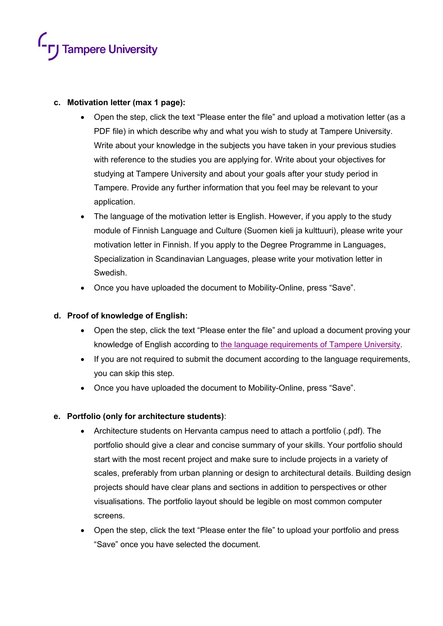

#### **c. Motivation letter (max 1 page):**

- Open the step, click the text "Please enter the file" and upload a motivation letter (as a PDF file) in which describe why and what you wish to study at Tampere University. Write about your knowledge in the subjects you have taken in your previous studies with reference to the studies you are applying for. Write about your objectives for studying at Tampere University and about your goals after your study period in Tampere. Provide any further information that you feel may be relevant to your application.
- The language of the motivation letter is English. However, if you apply to the study module of Finnish Language and Culture (Suomen kieli ja kulttuuri), please write your motivation letter in Finnish. If you apply to the Degree Programme in Languages, Specialization in Scandinavian Languages, please write your motivation letter in Swedish.
- Once you have uploaded the document to Mobility-Online, press "Save".

#### **d. Proof of knowledge of English:**

- Open the step, click the text "Please enter the file" and upload a document proving your knowledge of English according to [the language requirements of Tampere University.](https://www.tuni.fi/en/study-with-us/exchange-studies/how-apply-for-exchange-studies-at-tampere-university#expander-trigger--cd30ff24-a9ec-4dc1-b490-7f32a289d26f)
- If you are not required to submit the document according to the language requirements, you can skip this step*.*
- Once you have uploaded the document to Mobility-Online, press "Save".

## **e. Portfolio (only for architecture students)**:

- Architecture students on Hervanta campus need to attach a portfolio (.pdf). The portfolio should give a clear and concise summary of your skills. Your portfolio should start with the most recent project and make sure to include projects in a variety of scales, preferably from urban planning or design to architectural details. Building design projects should have clear plans and sections in addition to perspectives or other visualisations. The portfolio layout should be legible on most common computer screens.
- Open the step, click the text "Please enter the file" to upload your portfolio and press "Save" once you have selected the document.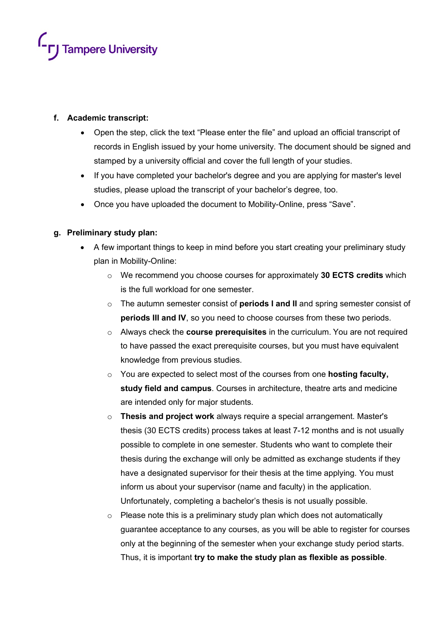

#### **f. Academic transcript:**

- Open the step, click the text "Please enter the file" and upload an official transcript of records in English issued by your home university. The document should be signed and stamped by a university official and cover the full length of your studies.
- If you have completed your bachelor's degree and you are applying for master's level studies, please upload the transcript of your bachelor's degree, too.
- Once you have uploaded the document to Mobility-Online, press "Save".

#### **g. Preliminary study plan:**

- A few important things to keep in mind before you start creating your preliminary study plan in Mobility-Online:
	- o We recommend you choose courses for approximately **30 ECTS credits** which is the full workload for one semester.
	- o The autumn semester consist of **periods I and II** and spring semester consist of **periods III and IV**, so you need to choose courses from these two periods.
	- o Always check the **course prerequisites** in the curriculum. You are not required to have passed the exact prerequisite courses, but you must have equivalent knowledge from previous studies.
	- o You are expected to select most of the courses from one **hosting faculty, study field and campus**. Courses in architecture, theatre arts and medicine are intended only for major students.
	- o **Thesis and project work** always require a special arrangement. Master's thesis (30 ECTS credits) process takes at least 7-12 months and is not usually possible to complete in one semester. Students who want to complete their thesis during the exchange will only be admitted as exchange students if they have a designated supervisor for their thesis at the time applying. You must inform us about your supervisor (name and faculty) in the application. Unfortunately, completing a bachelor's thesis is not usually possible.
	- $\circ$  Please note this is a preliminary study plan which does not automatically guarantee acceptance to any courses, as you will be able to register for courses only at the beginning of the semester when your exchange study period starts. Thus, it is important **try to make the study plan as flexible as possible**.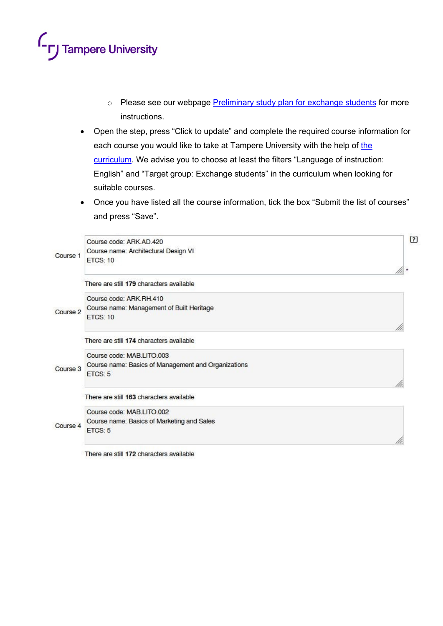# <sup>1</sup>- **r**J Tampere University

- o Please see our webpage [Preliminary study plan for exchange students](https://www.tuni.fi/studentsguide/handbook/uni?page=5905) for more instructions.
- Open the step, press "Click to update" and complete the required course information for each course you would like to take at Tampere University with the help of [the](https://www.tuni.fi/studentsguide/curriculum/course-units)  [curriculum.](https://www.tuni.fi/studentsguide/curriculum/course-units) We advise you to choose at least the filters "Language of instruction: English" and "Target group: Exchange students" in the curriculum when looking for suitable courses.
- Once you have listed all the course information, tick the box "Submit the list of courses" and press "Save".

|          | Course code: ARK AD 420                             | ☑ |
|----------|-----------------------------------------------------|---|
| Course 1 | Course name: Architectural Design VI                |   |
|          | <b>ETCS: 10</b>                                     |   |
|          |                                                     |   |
| Course 2 | There are still 179 characters available            |   |
|          | Course code: ARK RH 410                             |   |
|          | Course name: Management of Built Heritage           |   |
|          | ETCS: 10                                            |   |
|          |                                                     |   |
|          | There are still 174 characters available            |   |
| Course 3 | Course code: MAB LITO 003                           |   |
|          | Course name: Basics of Management and Organizations |   |
|          | <b>ETCS: 5</b>                                      |   |
|          |                                                     |   |
|          | There are still 163 characters available            |   |
| Course 4 | Course code: MAB LITO 002                           |   |
|          | Course name: Basics of Marketing and Sales          |   |
|          | ETCS: 5                                             |   |
|          |                                                     |   |
|          |                                                     |   |

There are still 172 characters available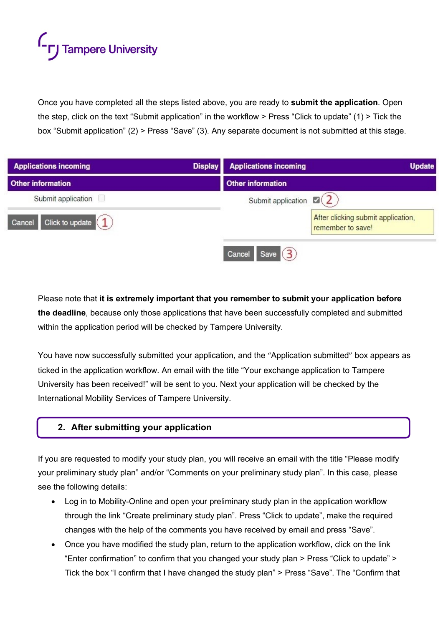# **FJ** Tampere University

Once you have completed all the steps listed above, you are ready to **submit the application**. Open the step, click on the text "Submit application" in the workflow > Press "Click to update" (1) > Tick the box "Submit application" (2) > Press "Save" (3). Any separate document is not submitted at this stage.

| <b>Applications incoming</b> | <b>Display</b> | <b>Applications incoming</b>  | <b>Update</b>                                           |
|------------------------------|----------------|-------------------------------|---------------------------------------------------------|
| <b>Other information</b>     |                | <b>Other information</b>      |                                                         |
| Submit application           |                | Submit application $\Box$ (2) |                                                         |
| Click to update 1<br>Cancel  |                |                               | After clicking submit application,<br>remember to save! |
|                              |                | Save (3)<br>Cancel            |                                                         |

Please note that **it is extremely important that you remember to submit your application before the deadline**, because only those applications that have been successfully completed and submitted within the application period will be checked by Tampere University.

You have now successfully submitted your application, and the "Application submitted" box appears as ticked in the application workflow. An email with the title "Your exchange application to Tampere University has been received!" will be sent to you. Next your application will be checked by the International Mobility Services of Tampere University.

## **2. After submitting your application**

If you are requested to modify your study plan, you will receive an email with the title "Please modify your preliminary study plan" and/or "Comments on your preliminary study plan". In this case, please see the following details:

- Log in to Mobility-Online and open your preliminary study plan in the application workflow through the link "Create preliminary study plan". Press "Click to update", make the required changes with the help of the comments you have received by email and press "Save".
- Once you have modified the study plan, return to the application workflow, click on the link "Enter confirmation" to confirm that you changed your study plan > Press "Click to update" > Tick the box "I confirm that I have changed the study plan" > Press "Save". The "Confirm that